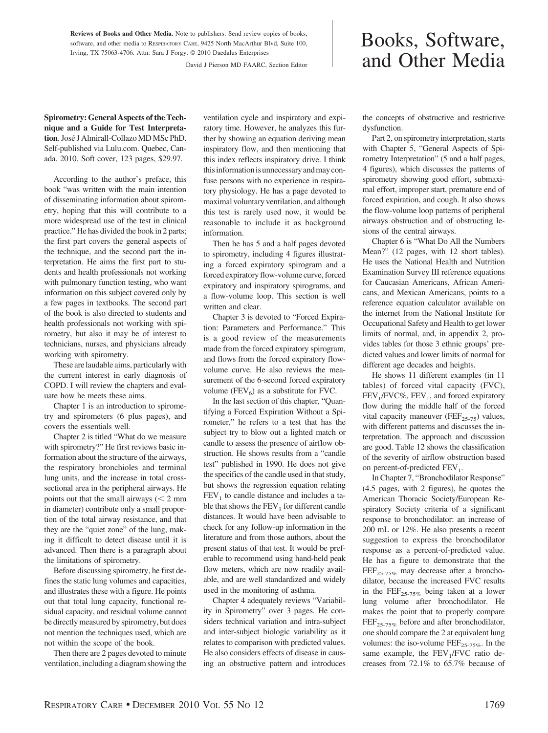**Reviews of Books and Other Media.** Note to publishers: Send review copies of books, software, and other media to RESPIRATORY CARE, 9425 North MacArthur Blvd, Suite 100, Irving, TX 75063-4706. Attn: Sara J Forgy. © 2010 Daedalus Enterprises

David J Pierson MD FAARC, Section Editor

## Books, Software, and Other Media

**Spirometry: General Aspects of the Technique and a Guide for Test Interpretation**. Jose´ J Almirall-Collazo MD MSc PhD. Self-published via Lulu.com. Quebec, Canada. 2010. Soft cover, 123 pages, \$29.97.

According to the author's preface, this book "was written with the main intention of disseminating information about spirometry, hoping that this will contribute to a more widespread use of the test in clinical practice." He has divided the book in 2 parts; the first part covers the general aspects of the technique, and the second part the interpretation. He aims the first part to students and health professionals not working with pulmonary function testing, who want information on this subject covered only by a few pages in textbooks. The second part of the book is also directed to students and health professionals not working with spirometry, but also it may be of interest to technicians, nurses, and physicians already working with spirometry.

These are laudable aims, particularly with the current interest in early diagnosis of COPD. I will review the chapters and evaluate how he meets these aims.

Chapter 1 is an introduction to spirometry and spirometers (6 plus pages), and covers the essentials well.

Chapter 2 is titled "What do we measure with spirometry?" He first reviews basic information about the structure of the airways, the respiratory bronchioles and terminal lung units, and the increase in total crosssectional area in the peripheral airways. He points out that the small airways  $\zeta$  2 mm in diameter) contribute only a small proportion of the total airway resistance, and that they are the "quiet zone" of the lung, making it difficult to detect disease until it is advanced. Then there is a paragraph about the limitations of spirometry.

Before discussing spirometry, he first defines the static lung volumes and capacities, and illustrates these with a figure. He points out that total lung capacity, functional residual capacity, and residual volume cannot be directly measured by spirometry, but does not mention the techniques used, which are not within the scope of the book.

Then there are 2 pages devoted to minute ventilation, including a diagram showing the ventilation cycle and inspiratory and expiratory time. However, he analyzes this further by showing an equation deriving mean inspiratory flow, and then mentioning that this index reflects inspiratory drive. I think this information is unnecessary and may confuse persons with no experience in respiratory physiology. He has a page devoted to maximal voluntary ventilation, and although this test is rarely used now, it would be reasonable to include it as background information.

Then he has 5 and a half pages devoted to spirometry, including 4 figures illustrating a forced expiratory spirogram and a forced expiratory flow-volume curve, forced expiratory and inspiratory spirograms, and a flow-volume loop. This section is well written and clear.

Chapter 3 is devoted to "Forced Expiration: Parameters and Performance." This is a good review of the measurements made from the forced expiratory spirogram, and flows from the forced expiratory flowvolume curve. He also reviews the measurement of the 6-second forced expiratory volume ( $FEV<sub>6</sub>$ ) as a substitute for FVC.

In the last section of this chapter, "Quantifying a Forced Expiration Without a Spirometer," he refers to a test that has the subject try to blow out a lighted match or candle to assess the presence of airflow obstruction. He shows results from a "candle test" published in 1990. He does not give the specifics of the candle used in that study, but shows the regression equation relating  $FEV<sub>1</sub>$  to candle distance and includes a table that shows the  $FEV<sub>1</sub>$  for different candle distances. It would have been advisable to check for any follow-up information in the literature and from those authors, about the present status of that test. It would be preferable to recommend using hand-held peak flow meters, which are now readily available, and are well standardized and widely used in the monitoring of asthma.

Chapter 4 adequately reviews "Variability in Spirometry" over 3 pages. He considers technical variation and intra-subject and inter-subject biologic variability as it relates to comparison with predicted values. He also considers effects of disease in causing an obstructive pattern and introduces the concepts of obstructive and restrictive dysfunction.

Part 2, on spirometry interpretation, starts with Chapter 5, "General Aspects of Spirometry Interpretation" (5 and a half pages, 4 figures), which discusses the patterns of spirometry showing good effort, submaximal effort, improper start, premature end of forced expiration, and cough. It also shows the flow-volume loop patterns of peripheral airways obstruction and of obstructing lesions of the central airways.

Chapter 6 is "What Do All the Numbers Mean?" (12 pages, with 12 short tables). He uses the National Health and Nutrition Examination Survey III reference equations for Caucasian Americans, African Americans, and Mexican Americans, points to a reference equation calculator available on the internet from the National Institute for Occupational Safety and Health to get lower limits of normal, and, in appendix 2, provides tables for those 3 ethnic groups' predicted values and lower limits of normal for different age decades and heights.

He shows 11 different examples (in 11 tables) of forced vital capacity (FVC),  $FEV<sub>1</sub>/FVC\%, FEV<sub>1</sub>$ , and forced expiratory flow during the middle half of the forced vital capacity maneuver ( $\text{FEF}_{25-75}$ ) values, with different patterns and discusses the interpretation. The approach and discussion are good. Table 12 shows the classification of the severity of airflow obstruction based on percent-of-predicted  $FEV<sub>1</sub>$ .

In Chapter 7, "Bronchodilator Response" (4.5 pages, with 2 figures), he quotes the American Thoracic Society/European Respiratory Society criteria of a significant response to bronchodilator: an increase of 200 mL or 12%. He also presents a recent suggestion to express the bronchodilator response as a percent-of-predicted value. He has a figure to demonstrate that the  $FEF_{25-75\%}$  may decrease after a bronchodilator, because the increased FVC results in the  $\text{FEF}_{25-75\%}$  being taken at a lower lung volume after bronchodilator. He makes the point that to properly compare  $FEF_{25-75\%}$  before and after bronchodilator, one should compare the 2 at equivalent lung volumes: the iso-volume  $\text{FEF}_{25-75\%}$ . In the same example, the  $FEV<sub>1</sub>/FVC$  ratio decreases from 72.1% to 65.7% because of